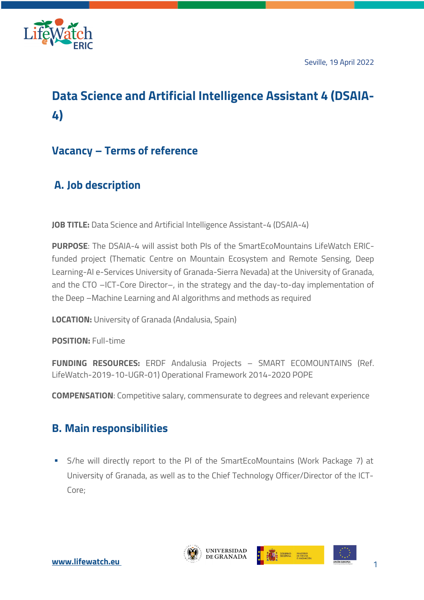

Seville, 19 April 2022

# **Data Science and Artificial Intelligence Assistant 4 (DSAIA-4)**

### **Vacancy – Terms of reference**

## **A. Job description**

**JOB TITLE:** Data Science and Artificial Intelligence Assistant-4 (DSAIA-4)

**PURPOSE**: The DSAIA-4 will assist both PIs of the SmartEcoMountains LifeWatch ERICfunded project (Thematic Centre on Mountain Ecosystem and Remote Sensing, Deep Learning-AI e-Services University of Granada-Sierra Nevada) at the University of Granada, and the CTO –ICT-Core Director–, in the strategy and the day-to-day implementation of the Deep –Machine Learning and AI algorithms and methods as required

**LOCATION:** University of Granada (Andalusia, Spain)

**POSITION:** Full-time

**FUNDING RESOURCES:** ERDF Andalusia Projects – SMART ECOMOUNTAINS (Ref. LifeWatch-2019-10-UGR-01) Operational Framework 2014-2020 POPE

**COMPENSATION:** Competitive salary, commensurate to degrees and relevant experience

### **B. Main responsibilities**

§ S/he will directly report to the PI of the SmartEcoMountains (Work Package 7) at University of Granada, as well as to the Chief Technology Officer/Director of the ICT-Core;



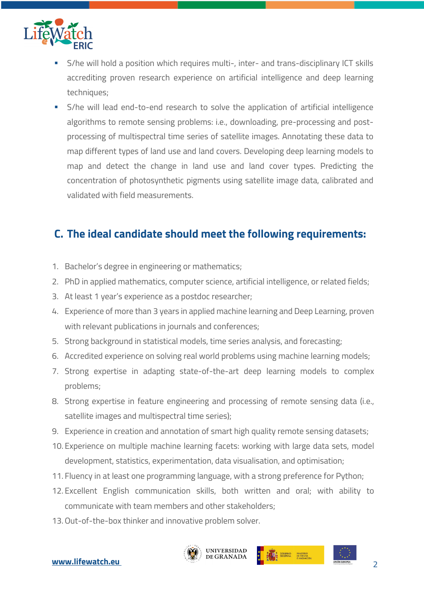

- § S/he will hold a position which requires multi-, inter- and trans-disciplinary ICT skills accrediting proven research experience on artificial intelligence and deep learning techniques;
- § S/he will lead end-to-end research to solve the application of artificial intelligence algorithms to remote sensing problems: i.e., downloading, pre-processing and postprocessing of multispectral time series of satellite images. Annotating these data to map different types of land use and land covers. Developing deep learning models to map and detect the change in land use and land cover types. Predicting the concentration of photosynthetic pigments using satellite image data, calibrated and validated with field measurements.

#### **C. The ideal candidate should meet the following requirements:**

- 1. Bachelor's degree in engineering or mathematics;
- 2. PhD in applied mathematics, computer science, artificial intelligence, or related fields;
- 3. At least 1 year's experience as a postdoc researcher;
- 4. Experience of more than 3 years in applied machine learning and Deep Learning, proven with relevant publications in journals and conferences;
- 5. Strong background in statistical models, time series analysis, and forecasting;
- 6. Accredited experience on solving real world problems using machine learning models;
- 7. Strong expertise in adapting state-of-the-art deep learning models to complex problems;
- 8. Strong expertise in feature engineering and processing of remote sensing data (i.e., satellite images and multispectral time series);
- 9. Experience in creation and annotation of smart high quality remote sensing datasets;
- 10. Experience on multiple machine learning facets: working with large data sets, model development, statistics, experimentation, data visualisation, and optimisation;
- 11. Fluency in at least one programming language, with a strong preference for Python;
- 12. Excellent English communication skills, both written and oral; with ability to communicate with team members and other stakeholders;
- 13.Out-of-the-box thinker and innovative problem solver.